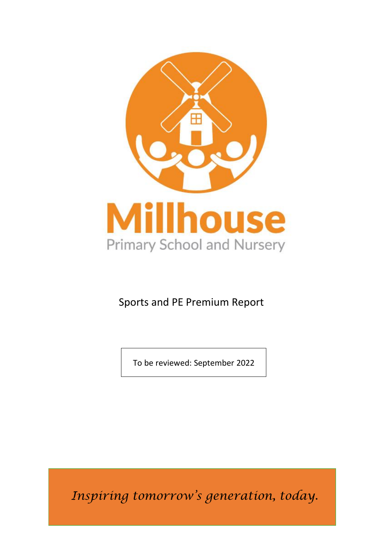

# Sports and PE Premium Report

To be reviewed: September 2022

*Inspiring tomorrow's generation, today.*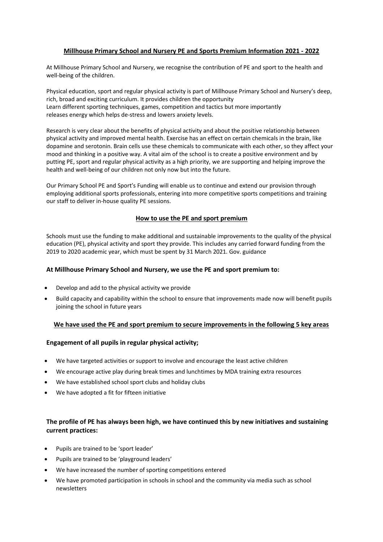# **Millhouse Primary School and Nursery PE and Sports Premium Information 2021 - 2022**

At Millhouse Primary School and Nursery, we recognise the contribution of PE and sport to the health and well-being of the children.

Physical education, sport and regular physical activity is part of Millhouse Primary School and Nursery's deep, rich, broad and exciting curriculum. It provides children the opportunity Learn different sporting techniques, games, competition and tactics but more importantly releases energy which helps de-stress and lowers anxiety levels.

Research is very clear about the benefits of physical activity and about the positive relationship between physical activity and improved mental health. Exercise has an effect on certain chemicals in the brain, like dopamine and serotonin. Brain cells use these chemicals to communicate with each other, so they affect your mood and thinking in a positive way. A vital aim of the school is to create a positive environment and by putting PE, sport and regular physical activity as a high priority, we are supporting and helping improve the health and well-being of our children not only now but into the future.

Our Primary School PE and Sport's Funding will enable us to continue and extend our provision through employing additional sports professionals, entering into more competitive sports competitions and training our staff to deliver in-house quality PE sessions.

## **How to use the PE and sport premium**

Schools must use the funding to make additional and sustainable improvements to the quality of the physical education (PE), physical activity and sport they provide. This includes any carried forward funding from the 2019 to 2020 academic year, which must be spent by 31 March 2021. Gov. guidance

#### **At Millhouse Primary School and Nursery, we use the PE and sport premium to:**

- Develop and add to the physical activity we provide
- Build capacity and capability within the school to ensure that improvements made now will benefit pupils joining the school in future years

# **We have used the PE and sport premium to secure improvements in the following 5 key areas**

#### **Engagement of all pupils in regular physical activity;**

- We have targeted activities or support to involve and encourage the least active children
- We encourage active play during break times and lunchtimes by MDA training extra resources
- We have established school sport clubs and holiday clubs
- We have adopted a fit for fifteen initiative

# **The profile of PE has always been high, we have continued this by new initiatives and sustaining current practices:**

- Pupils are trained to be 'sport leader'
- Pupils are trained to be 'playground leaders'
- We have increased the number of sporting competitions entered
- We have promoted participation in schools in school and the community via media such as school newsletters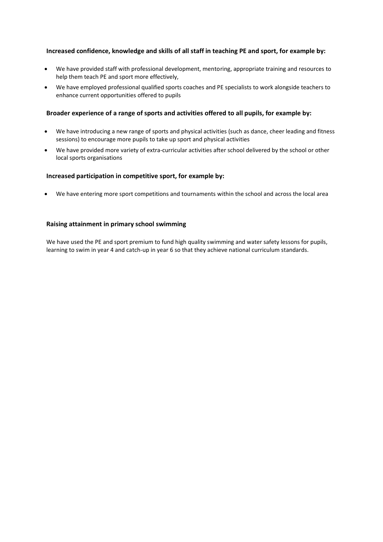# **Increased confidence, knowledge and skills of all staff in teaching PE and sport, for example by:**

- We have provided staff with professional development, mentoring, appropriate training and resources to help them teach PE and sport more effectively,
- We have employed professional qualified sports coaches and PE specialists to work alongside teachers to enhance current opportunities offered to pupils

# **Broader experience of a range of sports and activities offered to all pupils, for example by:**

- We have introducing a new range of sports and physical activities (such as dance, cheer leading and fitness sessions) to encourage more pupils to take up sport and physical activities
- We have provided more variety of extra-curricular activities after school delivered by the school or other local sports organisations

# **Increased participation in competitive sport, for example by:**

• We have entering more sport competitions and tournaments within the school and across the local area

## **Raising attainment in primary school swimming**

We have used the PE and sport premium to fund high quality swimming and water safety lessons for pupils, learning to swim in year 4 and catch-up in year 6 so that they achieve national curriculum standards.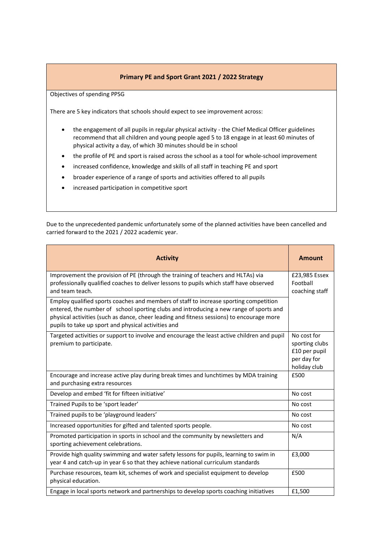# **Primary PE and Sport Grant 2021 / 2022 Strategy**

Objectives of spending PPSG

There are 5 key indicators that schools should expect to see improvement across:

- the engagement of all pupils in regular physical activity the Chief Medical Officer guidelines recommend that all children and young people aged 5 to 18 engage in at least 60 minutes of physical activity a day, of which 30 minutes should be in school
- the profile of PE and sport is raised across the school as a tool for whole-school improvement
- increased confidence, knowledge and skills of all staff in teaching PE and sport
- broader experience of a range of sports and activities offered to all pupils
- increased participation in competitive sport

Due to the unprecedented pandemic unfortunately some of the planned activities have been cancelled and carried forward to the 2021 / 2022 academic year.

| <b>Activity</b>                                                                                                                                                                                                                                                                                                                     | <b>Amount</b>                                                                 |
|-------------------------------------------------------------------------------------------------------------------------------------------------------------------------------------------------------------------------------------------------------------------------------------------------------------------------------------|-------------------------------------------------------------------------------|
| Improvement the provision of PE (through the training of teachers and HLTAs) via<br>professionally qualified coaches to deliver lessons to pupils which staff have observed<br>and team teach.                                                                                                                                      | £23,985 Essex<br>Football<br>coaching staff                                   |
| Employ qualified sports coaches and members of staff to increase sporting competition<br>entered, the number of school sporting clubs and introducing a new range of sports and<br>physical activities (such as dance, cheer leading and fitness sessions) to encourage more<br>pupils to take up sport and physical activities and |                                                                               |
| Targeted activities or support to involve and encourage the least active children and pupil<br>premium to participate.                                                                                                                                                                                                              | No cost for<br>sporting clubs<br>£10 per pupil<br>per day for<br>holiday club |
| Encourage and increase active play during break times and lunchtimes by MDA training<br>and purchasing extra resources                                                                                                                                                                                                              | £500                                                                          |
| Develop and embed 'fit for fifteen initiative'                                                                                                                                                                                                                                                                                      | No cost                                                                       |
| Trained Pupils to be 'sport leader'                                                                                                                                                                                                                                                                                                 | No cost                                                                       |
| Trained pupils to be 'playground leaders'                                                                                                                                                                                                                                                                                           | No cost                                                                       |
| Increased opportunities for gifted and talented sports people.                                                                                                                                                                                                                                                                      | No cost                                                                       |
| Promoted participation in sports in school and the community by newsletters and<br>sporting achievement celebrations.                                                                                                                                                                                                               | N/A                                                                           |
| Provide high quality swimming and water safety lessons for pupils, learning to swim in<br>year 4 and catch-up in year 6 so that they achieve national curriculum standards                                                                                                                                                          | £3,000                                                                        |
| Purchase resources, team kit, schemes of work and specialist equipment to develop<br>physical education.                                                                                                                                                                                                                            | £500                                                                          |
| Engage in local sports network and partnerships to develop sports coaching initiatives                                                                                                                                                                                                                                              | £1,500                                                                        |